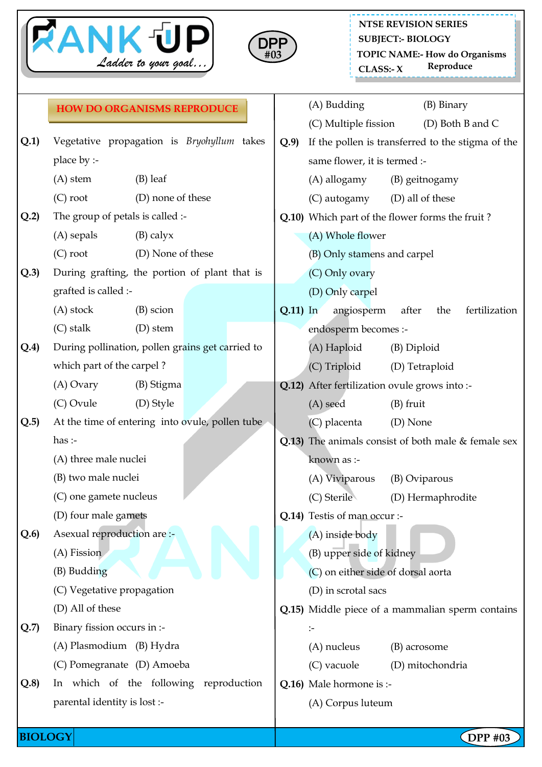



\_\_\_\_\_\_\_\_\_\_\_\_\_\_\_\_\_\_\_\_\_\_\_\_ **NTSE REVISION SERIES SUBJECT:- BIOLOGY TOPIC NAME:- How do Organisms CLASS: Reproduce - X**

|      | <b>HOW DO ORGANISMS REPRODUCE</b>                |                   |  |              |                                                       |                                                   | (A) Budding                                   |                   | (B) Binary |                  |  |
|------|--------------------------------------------------|-------------------|--|--------------|-------------------------------------------------------|---------------------------------------------------|-----------------------------------------------|-------------------|------------|------------------|--|
|      |                                                  |                   |  |              |                                                       |                                                   | (C) Multiple fission                          |                   |            | (D) Both B and C |  |
| Q.1) | Vegetative propagation is Bryohyllum takes       |                   |  |              | Q.9                                                   | If the pollen is transferred to the stigma of the |                                               |                   |            |                  |  |
|      | place by :-                                      |                   |  |              | same flower, it is termed :-                          |                                                   |                                               |                   |            |                  |  |
|      | $(A)$ stem                                       |                   |  | (A) allogamy | (B) geitnogamy                                        |                                                   |                                               |                   |            |                  |  |
|      | $(C)$ root                                       | (D) none of these |  |              |                                                       | (C) autogamy                                      | (D) all of these                              |                   |            |                  |  |
| Q.2  | The group of petals is called :-                 |                   |  |              | Q.10) Which part of the flower forms the fruit?       |                                                   |                                               |                   |            |                  |  |
|      | $(A)$ sepals<br>$(B)$ calyx                      |                   |  |              |                                                       | (A) Whole flower                                  |                                               |                   |            |                  |  |
|      | $(C)$ root<br>(D) None of these                  |                   |  |              |                                                       | (B) Only stamens and carpel                       |                                               |                   |            |                  |  |
| Q.3  | During grafting, the portion of plant that is    |                   |  |              | (C) Only ovary                                        |                                                   |                                               |                   |            |                  |  |
|      | grafted is called :-                             |                   |  |              |                                                       | (D) Only carpel                                   |                                               |                   |            |                  |  |
|      | $(A)$ stock                                      | (B) scion         |  |              | $Q.11$ ) In                                           |                                                   | angiosperm                                    | after             | the        | fertilization    |  |
|      | $(C)$ stalk                                      | $(D)$ stem        |  |              |                                                       |                                                   | endosperm becomes :-                          |                   |            |                  |  |
| Q.4) | During pollination, pollen grains get carried to |                   |  |              | (A) Haploid<br>(B) Diploid                            |                                                   |                                               |                   |            |                  |  |
|      | which part of the carpel?                        |                   |  |              |                                                       |                                                   | (C) Triploid                                  | (D) Tetraploid    |            |                  |  |
|      | $(A)$ Ovary                                      | (B) Stigma        |  |              |                                                       |                                                   | Q.12) After fertilization ovule grows into :- |                   |            |                  |  |
|      | (C) Ovule                                        | (D) Style         |  |              |                                                       |                                                   | (A) seed                                      | $(B)$ fruit       |            |                  |  |
| Q.5  | At the time of entering into ovule, pollen tube  |                   |  |              |                                                       |                                                   | (C) placenta                                  | (D) None          |            |                  |  |
|      | has:                                             |                   |  |              | Q.13) The animals consist of both male $&$ female sex |                                                   |                                               |                   |            |                  |  |
|      | (A) three male nuclei                            |                   |  |              |                                                       |                                                   | known as :-                                   |                   |            |                  |  |
|      | (B) two male nuclei                              |                   |  |              |                                                       | (A) Viviparous                                    | (B) Oviparous                                 |                   |            |                  |  |
|      | (C) one gamete nucleus                           |                   |  |              |                                                       |                                                   | (C) Sterile                                   | (D) Hermaphrodite |            |                  |  |
|      | (D) four male gamets                             |                   |  |              | Q.14) Testis of man occur :-                          |                                                   |                                               |                   |            |                  |  |
| Q.6  | Asexual reproduction are :-                      |                   |  |              |                                                       |                                                   | (A) inside body                               |                   |            |                  |  |
|      | $(A)$ Fission                                    |                   |  |              |                                                       |                                                   | (B) upper side of kidney                      |                   |            |                  |  |
|      | (B) Budding                                      |                   |  |              | (C) on either side of dorsal aorta                    |                                                   |                                               |                   |            |                  |  |
|      | (C) Vegetative propagation                       |                   |  |              | (D) in scrotal sacs                                   |                                                   |                                               |                   |            |                  |  |
|      | (D) All of these                                 |                   |  |              | Q.15) Middle piece of a mammalian sperm contains      |                                                   |                                               |                   |            |                  |  |
| Q.7  | Binary fission occurs in :-                      |                   |  |              |                                                       | $\mathrel{\mathop:}=$                             |                                               |                   |            |                  |  |
|      | (A) Plasmodium (B) Hydra                         |                   |  |              |                                                       |                                                   | (A) nucleus                                   | (B) acrosome      |            |                  |  |
|      | (C) Pomegranate (D) Amoeba                       |                   |  |              |                                                       |                                                   | (C) vacuole                                   | (D) mitochondria  |            |                  |  |
| Q.8  | In which of the following reproduction           |                   |  |              |                                                       | Q.16) Male hormone is :-                          |                                               |                   |            |                  |  |
|      | parental identity is lost :-                     |                   |  |              |                                                       | (A) Corpus luteum                                 |                                               |                   |            |                  |  |
|      |                                                  |                   |  |              |                                                       |                                                   |                                               |                   |            |                  |  |

**BIOLOGY DPP** #03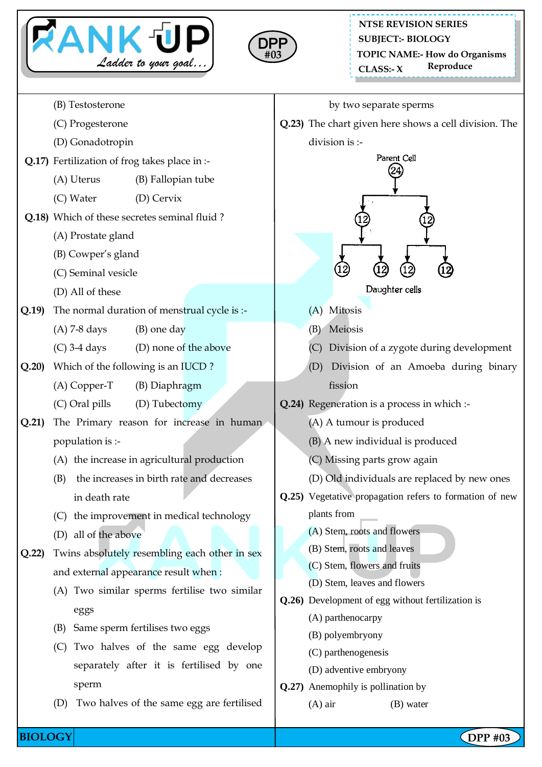



**NTSE REVISION SERIES TOPIC NAME:- How do Organisms CLASS: Reproduce - X SUBJECT:- BIOLOGY**

- (B) Testosterone
- (C) Progesterone
- (D) Gonadotropin
- **Q.17)** Fertilization of frog takes place in :-
	- (A) Uterus (B) Fallopian tube
	- (C) Water (D) Cervix
- **Q.18)** Which of these secretes seminal fluid ?
	- (A) Prostate gland
	- (B) Cowper's gland
	- (C) Seminal vesicle
	- (D) All of these
- **Q.19)** The normal duration of menstrual cycle is :-
	- $(A)$  7-8 days (B) one day
	- (C) 3-4 days (D) none of the above
- **Q.20)** Which of the following is an IUCD ?
	- (A) Copper-T (B) Diaphragm
	- (C) Oral pills (D) Tubectomy
- **Q.21)** The Primary reason for increase in human population is :-
	- (A) the increase in agricultural production
	- (B) the increases in birth rate and decreases in death rate
	- (C) the improvement in medical technology
	- (D) all of the above
- **Q.22)** Twins absolutely resembling each other in sex and external appearance result when :
	- (A) Two similar sperms fertilise two similar eggs
	- (B) Same sperm fertilises two eggs
	- (C) Two halves of the same egg develop separately after it is fertilised by one sperm
	- (D) Two halves of the same egg are fertilised
- by two separate sperms
- **Q.23)** The chart given here shows a cell division. The
	- division is :-



Daughter cells

- (A) Mitosis
- (B) Meiosis
- (C) Division of a zygote during development
- (D) Division of an Amoeba during binary fission
- **Q.24)** Regeneration is a process in which :-
	- (A) A tumour is produced
	- (B) A new individual is produced
	- (C) Missing parts grow again
	- (D) Old individuals are replaced by new ones
- **Q.25)** Vegetative propagation refers to formation of new plants from
	- (A) Stem, roots and flowers
	- (B) Stem, roots and leaves
	- (C) Stem, flowers and fruits
	- (D) Stem, leaves and flowers
- **Q.26)** Development of egg without fertilization is
	- (A) parthenocarpy
	- (B) polyembryony
	- (C) parthenogenesis
	- (D) adventive embryony
- **Q.27)** Anemophily is pollination by
	- (A) air (B) water

**BIOLOGY DPP** #03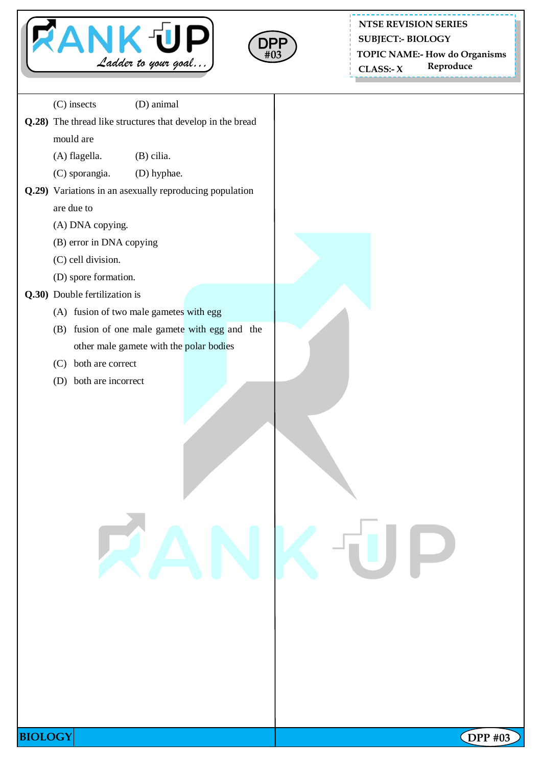



**NTSE REVISION SERIES SUBJECT:- BIOLOGY**

**TOPIC NAME:- How do Organisms**

 **CLASS: Reproduce - X**

(C) insects (D) animal **Q.28)** The thread like structures that develop in the bread mould are (A) flagella. (B) cilia. (C) sporangia. (D) hyphae. **Q.29)** Variations in an asexually reproducing population are due to (A) DNA copying. (B) error in DNA copying (C) cell division. (D) spore formation. **Q.30)** Double fertilization is (A) fusion of two male gametes with egg (B) fusion of one male gamete with egg and the other male gamete with the polar bodies (C) both are correct (D) both are incorrect